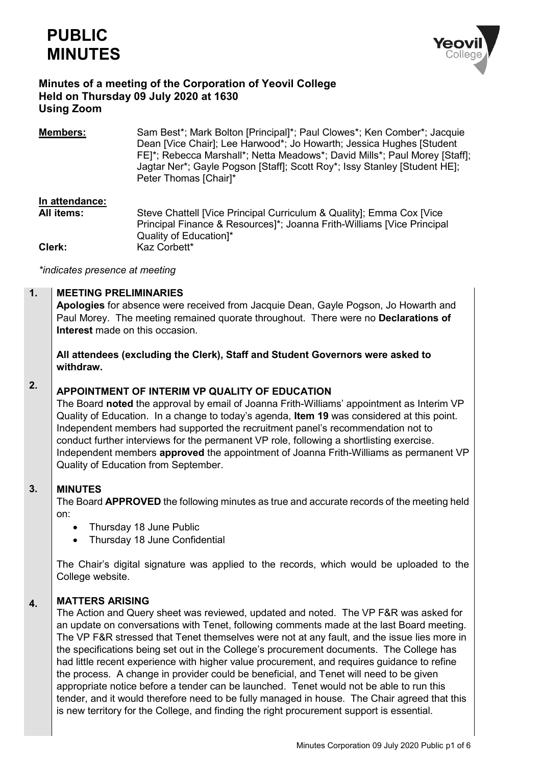



# **Minutes of a meeting of the Corporation of Yeovil College Held on Thursday 09 July 2020 at 1630 Using Zoom**

**Members:** Sam Best\*; Mark Bolton [Principal]\*; Paul Clowes\*; Ken Comber\*; Jacquie Dean [Vice Chair]; Lee Harwood\*; Jo Howarth; Jessica Hughes [Student FE]\*; Rebecca Marshall\*; Netta Meadows\*; David Mills\*; Paul Morey [Staff]; Jagtar Ner\*; Gayle Pogson [Staff]; Scott Roy\*; Issy Stanley [Student HE]; Peter Thomas [Chair]\*

# **In attendance:**

**All items:** Steve Chattell [Vice Principal Curriculum & Quality]; Emma Cox [Vice Principal Finance & Resources]\*; Joanna Frith-Williams [Vice Principal Quality of Education]\* **Clerk:** Kaz Corbett\*

*\*indicates presence at meeting*

#### **1. MEETING PRELIMINARIES**

**Apologies** for absence were received from Jacquie Dean, Gayle Pogson, Jo Howarth and Paul Morey. The meeting remained quorate throughout. There were no **Declarations of Interest** made on this occasion.

**All attendees (excluding the Clerk), Staff and Student Governors were asked to withdraw.**

### **2. APPOINTMENT OF INTERIM VP QUALITY OF EDUCATION**

The Board **noted** the approval by email of Joanna Frith-Williams' appointment as Interim VP Quality of Education. In a change to today's agenda, **Item 19** was considered at this point. Independent members had supported the recruitment panel's recommendation not to conduct further interviews for the permanent VP role, following a shortlisting exercise. Independent members **approved** the appointment of Joanna Frith-Williams as permanent VP Quality of Education from September.

#### **3. MINUTES**

The Board **APPROVED** the following minutes as true and accurate records of the meeting held on:

- Thursday 18 June Public
- Thursday 18 June Confidential

The Chair's digital signature was applied to the records, which would be uploaded to the College website.

#### **4. MATTERS ARISING**

The Action and Query sheet was reviewed, updated and noted. The VP F&R was asked for an update on conversations with Tenet, following comments made at the last Board meeting. The VP F&R stressed that Tenet themselves were not at any fault, and the issue lies more in the specifications being set out in the College's procurement documents. The College has had little recent experience with higher value procurement, and requires guidance to refine the process. A change in provider could be beneficial, and Tenet will need to be given appropriate notice before a tender can be launched. Tenet would not be able to run this tender, and it would therefore need to be fully managed in house. The Chair agreed that this is new territory for the College, and finding the right procurement support is essential.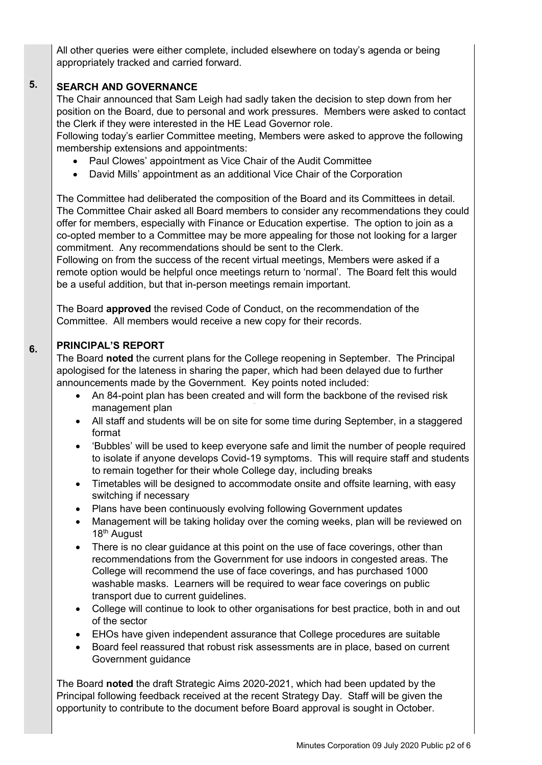All other queries were either complete, included elsewhere on today's agenda or being appropriately tracked and carried forward.

#### **5. SEARCH AND GOVERNANCE**

The Chair announced that Sam Leigh had sadly taken the decision to step down from her position on the Board, due to personal and work pressures. Members were asked to contact the Clerk if they were interested in the HE Lead Governor role.

Following today's earlier Committee meeting, Members were asked to approve the following membership extensions and appointments:

- Paul Clowes' appointment as Vice Chair of the Audit Committee
- David Mills' appointment as an additional Vice Chair of the Corporation

The Committee had deliberated the composition of the Board and its Committees in detail. The Committee Chair asked all Board members to consider any recommendations they could offer for members, especially with Finance or Education expertise. The option to join as a co-opted member to a Committee may be more appealing for those not looking for a larger commitment. Any recommendations should be sent to the Clerk.

Following on from the success of the recent virtual meetings, Members were asked if a remote option would be helpful once meetings return to 'normal'. The Board felt this would be a useful addition, but that in-person meetings remain important.

The Board **approved** the revised Code of Conduct, on the recommendation of the Committee. All members would receive a new copy for their records.

#### **6. PRINCIPAL'S REPORT**

The Board **noted** the current plans for the College reopening in September. The Principal apologised for the lateness in sharing the paper, which had been delayed due to further announcements made by the Government. Key points noted included:

- An 84-point plan has been created and will form the backbone of the revised risk management plan
- All staff and students will be on site for some time during September, in a staggered format
- 'Bubbles' will be used to keep everyone safe and limit the number of people required to isolate if anyone develops Covid-19 symptoms. This will require staff and students to remain together for their whole College day, including breaks
- Timetables will be designed to accommodate onsite and offsite learning, with easy switching if necessary
- Plans have been continuously evolving following Government updates
- Management will be taking holiday over the coming weeks, plan will be reviewed on 18<sup>th</sup> August
- There is no clear guidance at this point on the use of face coverings, other than recommendations from the Government for use indoors in congested areas. The College will recommend the use of face coverings, and has purchased 1000 washable masks. Learners will be required to wear face coverings on public transport due to current guidelines.
- College will continue to look to other organisations for best practice, both in and out of the sector
- EHOs have given independent assurance that College procedures are suitable
- Board feel reassured that robust risk assessments are in place, based on current Government guidance

The Board **noted** the draft Strategic Aims 2020-2021, which had been updated by the Principal following feedback received at the recent Strategy Day. Staff will be given the opportunity to contribute to the document before Board approval is sought in October.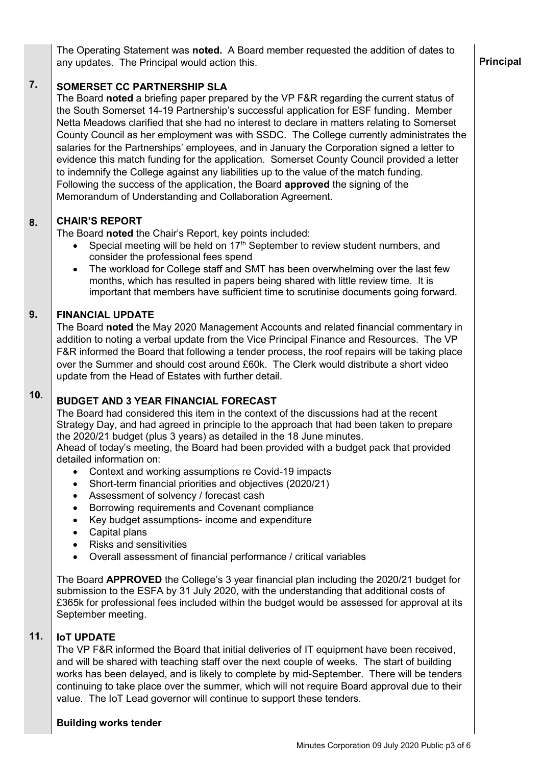The Operating Statement was **noted.** A Board member requested the addition of dates to any updates. The Principal would action this.

#### **7. SOMERSET CC PARTNERSHIP SLA**

The Board **noted** a briefing paper prepared by the VP F&R regarding the current status of the South Somerset 14-19 Partnership's successful application for ESF funding. Member Netta Meadows clarified that she had no interest to declare in matters relating to Somerset County Council as her employment was with SSDC. The College currently administrates the salaries for the Partnerships' employees, and in January the Corporation signed a letter to evidence this match funding for the application. Somerset County Council provided a letter to indemnify the College against any liabilities up to the value of the match funding. Following the success of the application, the Board **approved** the signing of the Memorandum of Understanding and Collaboration Agreement.

#### **8. CHAIR'S REPORT**

The Board **noted** the Chair's Report, key points included:

- Special meeting will be held on  $17<sup>th</sup>$  September to review student numbers, and consider the professional fees spend
- The workload for College staff and SMT has been overwhelming over the last few months, which has resulted in papers being shared with little review time. It is important that members have sufficient time to scrutinise documents going forward.

#### **9. FINANCIAL UPDATE**

The Board **noted** the May 2020 Management Accounts and related financial commentary in addition to noting a verbal update from the Vice Principal Finance and Resources. The VP F&R informed the Board that following a tender process, the roof repairs will be taking place over the Summer and should cost around £60k. The Clerk would distribute a short video update from the Head of Estates with further detail.

### **10.**

# **BUDGET AND 3 YEAR FINANCIAL FORECAST**

The Board had considered this item in the context of the discussions had at the recent Strategy Day, and had agreed in principle to the approach that had been taken to prepare the 2020/21 budget (plus 3 years) as detailed in the 18 June minutes. Ahead of today's meeting, the Board had been provided with a budget pack that provided

detailed information on:

- Context and working assumptions re Covid-19 impacts
- Short-term financial priorities and objectives (2020/21)
- Assessment of solvency / forecast cash
- Borrowing requirements and Covenant compliance
- Key budget assumptions- income and expenditure
- Capital plans
- Risks and sensitivities
- Overall assessment of financial performance / critical variables

The Board **APPROVED** the College's 3 year financial plan including the 2020/21 budget for submission to the ESFA by 31 July 2020, with the understanding that additional costs of £365k for professional fees included within the budget would be assessed for approval at its September meeting.

#### **11. IoT UPDATE**

The VP F&R informed the Board that initial deliveries of IT equipment have been received, and will be shared with teaching staff over the next couple of weeks. The start of building works has been delayed, and is likely to complete by mid-September. There will be tenders continuing to take place over the summer, which will not require Board approval due to their value. The IoT Lead governor will continue to support these tenders.

# **Building works tender**

# **Principal**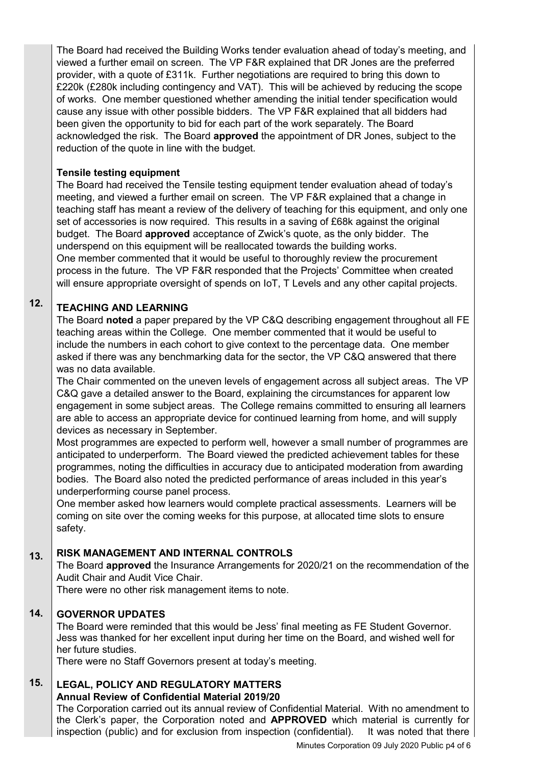The Board had received the Building Works tender evaluation ahead of today's meeting, and viewed a further email on screen. The VP F&R explained that DR Jones are the preferred provider, with a quote of £311k. Further negotiations are required to bring this down to £220k (£280k including contingency and VAT). This will be achieved by reducing the scope of works. One member questioned whether amending the initial tender specification would cause any issue with other possible bidders. The VP F&R explained that all bidders had been given the opportunity to bid for each part of the work separately. The Board acknowledged the risk. The Board **approved** the appointment of DR Jones, subject to the reduction of the quote in line with the budget.

# **Tensile testing equipment**

The Board had received the Tensile testing equipment tender evaluation ahead of today's meeting, and viewed a further email on screen. The VP F&R explained that a change in teaching staff has meant a review of the delivery of teaching for this equipment, and only one set of accessories is now required. This results in a saving of £68k against the original budget. The Board **approved** acceptance of Zwick's quote, as the only bidder. The underspend on this equipment will be reallocated towards the building works. One member commented that it would be useful to thoroughly review the procurement process in the future. The VP F&R responded that the Projects' Committee when created will ensure appropriate oversight of spends on IoT, T Levels and any other capital projects.

### **12. TEACHING AND LEARNING**

The Board **noted** a paper prepared by the VP C&Q describing engagement throughout all FE teaching areas within the College. One member commented that it would be useful to include the numbers in each cohort to give context to the percentage data. One member asked if there was any benchmarking data for the sector, the VP C&Q answered that there was no data available.

The Chair commented on the uneven levels of engagement across all subject areas. The VP C&Q gave a detailed answer to the Board, explaining the circumstances for apparent low engagement in some subject areas. The College remains committed to ensuring all learners are able to access an appropriate device for continued learning from home, and will supply devices as necessary in September.

Most programmes are expected to perform well, however a small number of programmes are anticipated to underperform. The Board viewed the predicted achievement tables for these programmes, noting the difficulties in accuracy due to anticipated moderation from awarding bodies. The Board also noted the predicted performance of areas included in this year's underperforming course panel process.

One member asked how learners would complete practical assessments. Learners will be coming on site over the coming weeks for this purpose, at allocated time slots to ensure safety.

#### **13. RISK MANAGEMENT AND INTERNAL CONTROLS**

The Board **approved** the Insurance Arrangements for 2020/21 on the recommendation of the Audit Chair and Audit Vice Chair.

There were no other risk management items to note.

#### **14. GOVERNOR UPDATES**

The Board were reminded that this would be Jess' final meeting as FE Student Governor. Jess was thanked for her excellent input during her time on the Board, and wished well for her future studies.

There were no Staff Governors present at today's meeting.

### **15. LEGAL, POLICY AND REGULATORY MATTERS**

## **Annual Review of Confidential Material 2019/20**

The Corporation carried out its annual review of Confidential Material. With no amendment to the Clerk's paper, the Corporation noted and **APPROVED** which material is currently for inspection (public) and for exclusion from inspection (confidential). It was noted that there

Minutes Corporation 09 July 2020 Public p4 of 6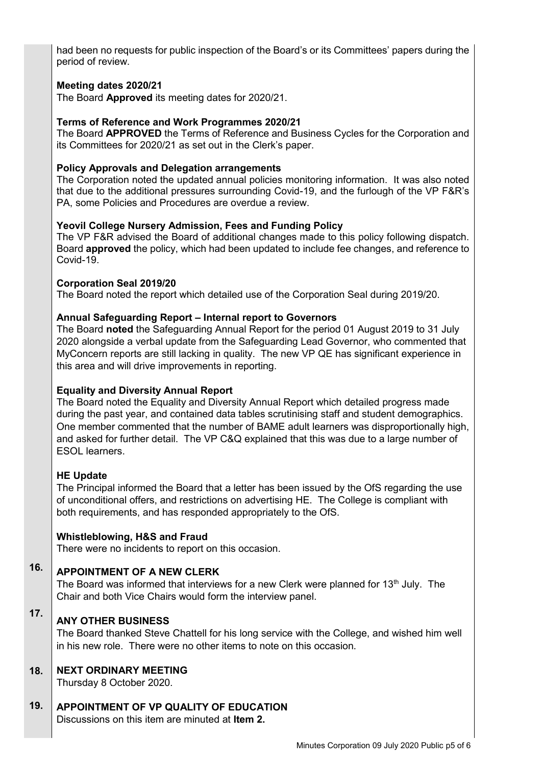had been no requests for public inspection of the Board's or its Committees' papers during the period of review.

## **Meeting dates 2020/21**

The Board **Approved** its meeting dates for 2020/21.

## **Terms of Reference and Work Programmes 2020/21**

The Board **APPROVED** the Terms of Reference and Business Cycles for the Corporation and its Committees for 2020/21 as set out in the Clerk's paper.

## **Policy Approvals and Delegation arrangements**

The Corporation noted the updated annual policies monitoring information. It was also noted that due to the additional pressures surrounding Covid-19, and the furlough of the VP F&R's PA, some Policies and Procedures are overdue a review.

## **Yeovil College Nursery Admission, Fees and Funding Policy**

The VP F&R advised the Board of additional changes made to this policy following dispatch. Board **approved** the policy, which had been updated to include fee changes, and reference to Covid-19.

### **Corporation Seal 2019/20**

The Board noted the report which detailed use of the Corporation Seal during 2019/20.

### **Annual Safeguarding Report – Internal report to Governors**

The Board **noted** the Safeguarding Annual Report for the period 01 August 2019 to 31 July 2020 alongside a verbal update from the Safeguarding Lead Governor, who commented that MyConcern reports are still lacking in quality. The new VP QE has significant experience in this area and will drive improvements in reporting.

## **Equality and Diversity Annual Report**

The Board noted the Equality and Diversity Annual Report which detailed progress made during the past year, and contained data tables scrutinising staff and student demographics. One member commented that the number of BAME adult learners was disproportionally high, and asked for further detail. The VP C&Q explained that this was due to a large number of ESOL learners.

### **HE Update**

The Principal informed the Board that a letter has been issued by the OfS regarding the use of unconditional offers, and restrictions on advertising HE. The College is compliant with both requirements, and has responded appropriately to the OfS.

### **Whistleblowing, H&S and Fraud**

There were no incidents to report on this occasion.

### **16. APPOINTMENT OF A NEW CLERK**

The Board was informed that interviews for a new Clerk were planned for 13<sup>th</sup> July. The Chair and both Vice Chairs would form the interview panel.

### **17. ANY OTHER BUSINESS**

The Board thanked Steve Chattell for his long service with the College, and wished him well in his new role. There were no other items to note on this occasion.

#### **18. NEXT ORDINARY MEETING**

Thursday 8 October 2020.

#### **19. APPOINTMENT OF VP QUALITY OF EDUCATION**

Discussions on this item are minuted at **Item 2.**